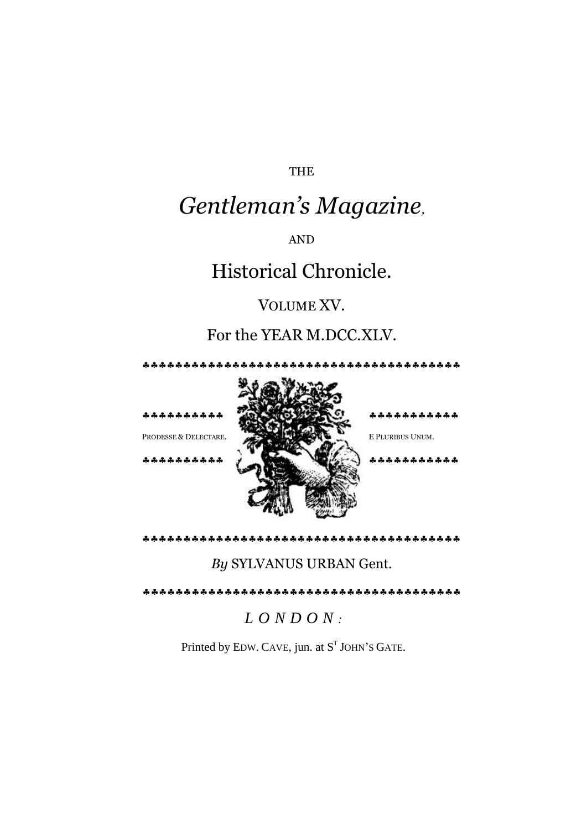THE

## *Gentleman's Magazine,*

AND

## Historical Chronicle.

## VOLUME XV.

## For the YEAR M.DCC.XLV.

\*\*\*\*\*\*\*\*\*\*\*\*\*\*\*\*\*\*\*\*\*\*\*\*\*\*\*\*\*\*\*\*\*



*By* SYLVANUS URBAN Gent.

*L O N D O N :*

Printed by EDW. CAVE, jun. at  $S<sup>T</sup>$  JOHN's GATE.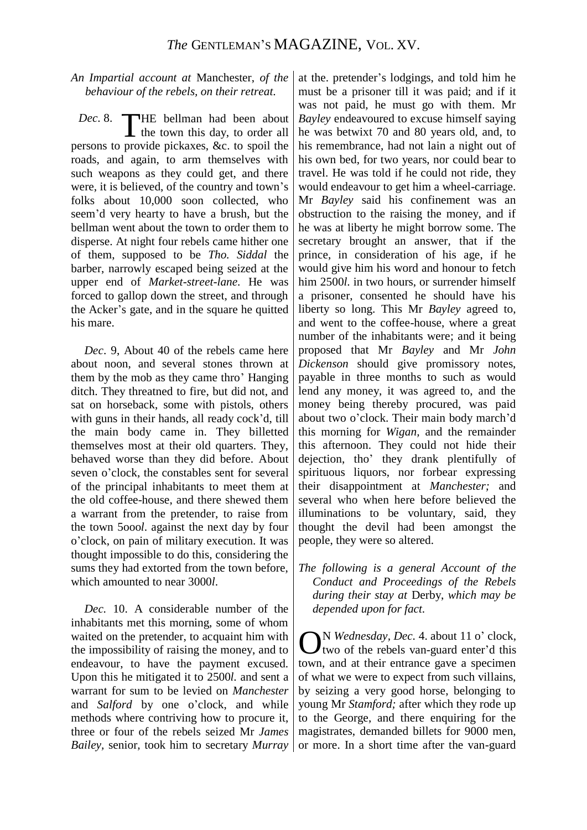*An Impartial account at* Manchester, *of the behaviour of the rebels, on their retreat.*

Dec. 8. THE bellman had been about the town this day, to order all  $\blacktriangle$  the town this day, to order all persons to provide pickaxes, &c. to spoil the roads, and again, to arm themselves with such weapons as they could get, and there were, it is believed, of the country and town's folks about 10,000 soon collected, who seem'd very hearty to have a brush, but the bellman went about the town to order them to disperse. At night four rebels came hither one of them, supposed to be *Tho. Siddal* the barber, narrowly escaped being seized at the upper end of *Market-street-lane.* He was forced to gallop down the street, and through the Acker's gate, and in the square he quitted his mare.

*Dec*. 9, About 40 of the rebels came here about noon, and several stones thrown at them by the mob as they came thro' Hanging ditch. They threatned to fire, but did not, and sat on horseback, some with pistols, others with guns in their hands, all ready cock'd, till the main body came in. They billetted themselves most at their old quarters. They, behaved worse than they did before. About seven o'clock, the constables sent for several of the principal inhabitants to meet them at the old coffee-house, and there shewed them a warrant from the pretender, to raise from the town 5ooo*l*. against the next day by four o'clock, on pain of military execution. It was thought impossible to do this, considering the sums they had extorted from the town before, which amounted to near 3000*l*.

*Dec.* 10. A considerable number of the inhabitants met this morning, some of whom waited on the pretender, to acquaint him with the impossibility of raising the money, and to endeavour, to have the payment excused. Upon this he mitigated it to 2500*l.* and sent a warrant for sum to be levied on *Manchester*  and *Salford* by one o'clock, and while methods where contriving how to procure it, three or four of the rebels seized Mr *James Bailey,* senior, took him to secretary *Murray* or more. In a short time after the van-guard

at the. pretender's lodgings, and told him he must be a prisoner till it was paid; and if it was not paid, he must go with them. Mr *Bayley* endeavoured to excuse himself saying he was betwixt 70 and 80 years old, and, to his remembrance, had not lain a night out of his own bed, for two years, nor could bear to travel. He was told if he could not ride, they would endeavour to get him a wheel-carriage. Mr *Bayley* said his confinement was an obstruction to the raising the money, and if he was at liberty he might borrow some. The secretary brought an answer, that if the prince, in consideration of his age, if he would give him his word and honour to fetch him 2500*l.* in two hours, or surrender himself a prisoner, consented he should have his liberty so long. This Mr *Bayley* agreed to, and went to the coffee-house, where a great number of the inhabitants were; and it being proposed that Mr *Bayley* and Mr *John Dickenson* should give promissory notes, payable in three months to such as would lend any money, it was agreed to, and the money being thereby procured, was paid about two o'clock. Their main body march'd this morning for *Wigan,* and the remainder this afternoon. They could not hide their dejection, tho' they drank plentifully of spirituous liquors, nor forbear expressing their disappointment at *Manchester;* and several who when here before believed the illuminations to be voluntary, said, they thought the devil had been amongst the people, they were so altered.

*The following is a general Account of the Conduct and Proceedings of the Rebels during their stay at* Derby, *which may be depended upon for fact.*

**O**<sup>N</sup> *Wednesday, Dec.* 4. about 11 o' clock,<br>
Utwo of the rebels van-guard enter'd this two of the rebels van-guard enter'd this town, and at their entrance gave a specimen of what we were to expect from such villains, by seizing a very good horse, belonging to young Mr *Stamford;* after which they rode up to the George, and there enquiring for the magistrates, demanded billets for 9000 men,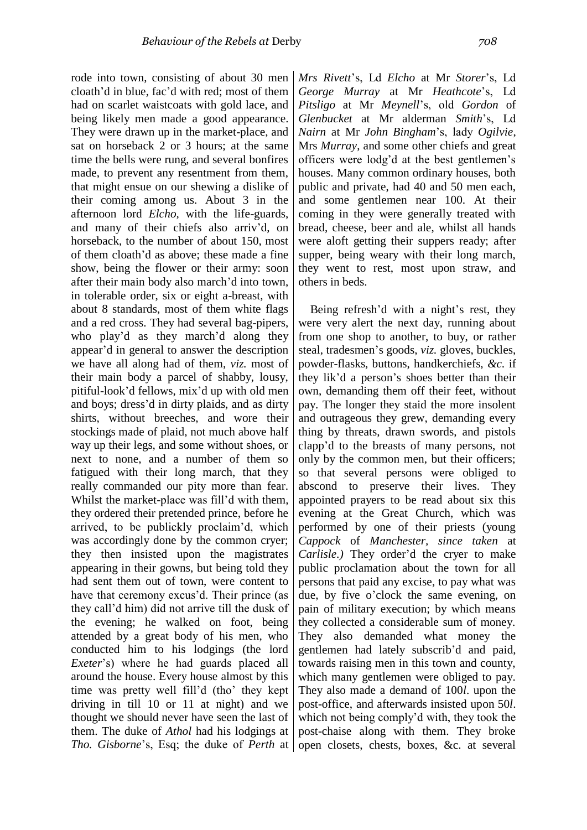rode into town, consisting of about 30 men cloath'd in blue, fac'd with red; most of them had on scarlet waistcoats with gold lace, and being likely men made a good appearance. They were drawn up in the market-place, and sat on horseback 2 or 3 hours; at the same time the bells were rung, and several bonfires made, to prevent any resentment from them, that might ensue on our shewing a dislike of their coming among us. About 3 in the afternoon lord *Elcho,* with the life-guards, and many of their chiefs also arriv'd, on horseback, to the number of about 150, most of them cloath'd as above; these made a fine show, being the flower or their army: soon after their main body also march'd into town, in tolerable order, six or eight a-breast, with about 8 standards, most of them white flags and a red cross. They had several bag-pipers, who play'd as they march'd along they appear'd in general to answer the description we have all along had of them, *viz.* most of their main body a parcel of shabby, lousy, pitiful-look'd fellows, mix'd up with old men and boys; dress'd in dirty plaids, and as dirty shirts, without breeches, and wore their stockings made of plaid, not much above half way up their legs, and some without shoes, or next to none, and a number of them so fatigued with their long march, that they really commanded our pity more than fear. Whilst the market-place was fill'd with them, they ordered their pretended prince, before he arrived, to be publickly proclaim'd, which was accordingly done by the common cryer; they then insisted upon the magistrates appearing in their gowns, but being told they had sent them out of town, were content to have that ceremony excus'd. Their prince (as they call'd him) did not arrive till the dusk of the evening; he walked on foot, being attended by a great body of his men, who conducted him to his lodgings (the lord *Exeter*'s) where he had guards placed all around the house. Every house almost by this time was pretty well fill'd (tho' they kept driving in till 10 or 11 at night) and we thought we should never have seen the last of them. The duke of *Athol* had his lodgings at *Tho. Gisborne's*, Esq; the duke of *Perth* at open closets, chests, boxes, &c. at several

*Mrs Rivett*'s, Ld *Elcho* at Mr *Storer*'s, Ld *George Murray* at Mr *Heathcote*'s, Ld *Pitsligo* at Mr *Meynell*'s, old *Gordon* of *Glenbucket* at Mr alderman *Smith*'s, Ld *Nairn* at Mr *John Bingham*'s, lady *Ogilvie*, Mrs *Murray*, and some other chiefs and great officers were lodg'd at the best gentlemen's houses. Many common ordinary houses, both public and private, had 40 and 50 men each, and some gentlemen near 100. At their coming in they were generally treated with bread, cheese, beer and ale, whilst all hands were aloft getting their suppers ready; after supper, being weary with their long march, they went to rest, most upon straw, and others in beds.

Being refresh'd with a night's rest, they were very alert the next day, running about from one shop to another, to buy, or rather steal, tradesmen's goods, *viz.* gloves, buckles, powder-flasks, buttons, handkerchiefs, *&c.* if they lik'd a person's shoes better than their own, demanding them off their feet, without pay. The longer they staid the more insolent and outrageous they grew, demanding every thing by threats, drawn swords, and pistols clapp'd to the breasts of many persons, not only by the common men, but their officers; so that several persons were obliged to abscond to preserve their lives. They appointed prayers to be read about six this evening at the Great Church, which was performed by one of their priests (young *Cappock* of *Manchester, since taken* at *Carlisle.)* They order'd the cryer to make public proclamation about the town for all persons that paid any excise, to pay what was due, by five o'clock the same evening, on pain of military execution; by which means they collected a considerable sum of money. They also demanded what money the gentlemen had lately subscrib'd and paid, towards raising men in this town and county, which many gentlemen were obliged to pay. They also made a demand of 100*l*. upon the post-office, and afterwards insisted upon 50*l*. which not being comply'd with, they took the post-chaise along with them. They broke